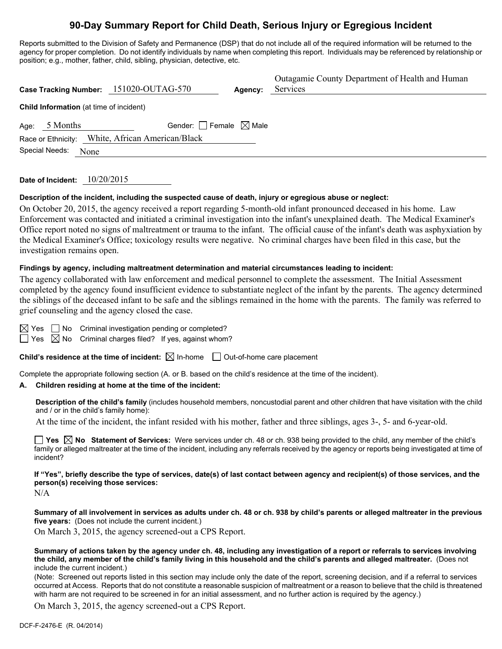# **90-Day Summary Report for Child Death, Serious Injury or Egregious Incident**

Reports submitted to the Division of Safety and Permanence (DSP) that do not include all of the required information will be returned to the agency for proper completion. Do not identify individuals by name when completing this report. Individuals may be referenced by relationship or position; e.g., mother, father, child, sibling, physician, detective, etc.

|                                                     | Case Tracking Number: 151020-OUTAG-570           | Agency: | Outagamie County Department of Health and Human<br>Services |  |  |  |  |
|-----------------------------------------------------|--------------------------------------------------|---------|-------------------------------------------------------------|--|--|--|--|
| <b>Child Information</b> (at time of incident)      |                                                  |         |                                                             |  |  |  |  |
| Gender: Female $\boxtimes$ Male<br>5 Months<br>Age: |                                                  |         |                                                             |  |  |  |  |
|                                                     | Race or Ethnicity: White, African American/Black |         |                                                             |  |  |  |  |
| Special Needs:<br>None                              |                                                  |         |                                                             |  |  |  |  |

**Date of Incident:** 10/20/2015

#### **Description of the incident, including the suspected cause of death, injury or egregious abuse or neglect:**

On October 20, 2015, the agency received a report regarding 5-month-old infant pronounced deceased in his home. Law Enforcement was contacted and initiated a criminal investigation into the infant's unexplained death. The Medical Examiner's Office report noted no signs of maltreatment or trauma to the infant. The official cause of the infant's death was asphyxiation by the Medical Examiner's Office; toxicology results were negative. No criminal charges have been filed in this case, but the investigation remains open.

#### **Findings by agency, including maltreatment determination and material circumstances leading to incident:**

The agency collaborated with law enforcement and medical personnel to complete the assessment. The Initial Assessment completed by the agency found insufficient evidence to substantiate neglect of the infant by the parents. The agency determined the siblings of the deceased infant to be safe and the siblings remained in the home with the parents. The family was referred to grief counseling and the agency closed the case.

 $\Box$  No Criminal investigation pending or completed?

 $\Box$  Yes  $\boxtimes$  No Criminal charges filed? If yes, against whom?

**Child's residence at the time of incident:**  $\boxtimes$  In-home  $\Box$  Out-of-home care placement

Complete the appropriate following section (A. or B. based on the child's residence at the time of the incident).

#### **A. Children residing at home at the time of the incident:**

**Description of the child's family** (includes household members, noncustodial parent and other children that have visitation with the child and / or in the child's family home):

At the time of the incident, the infant resided with his mother, father and three siblings, ages 3-, 5- and 6-year-old.

■ Yes **No** Statement of Services: Were services under ch. 48 or ch. 938 being provided to the child, any member of the child's family or alleged maltreater at the time of the incident, including any referrals received by the agency or reports being investigated at time of incident?

**If "Yes", briefly describe the type of services, date(s) of last contact between agency and recipient(s) of those services, and the person(s) receiving those services:** 

 $N/A$ 

**Summary of all involvement in services as adults under ch. 48 or ch. 938 by child's parents or alleged maltreater in the previous five years:** (Does not include the current incident.)

On March 3, 2015, the agency screened-out a CPS Report.

**Summary of actions taken by the agency under ch. 48, including any investigation of a report or referrals to services involving the child, any member of the child's family living in this household and the child's parents and alleged maltreater.** (Does not include the current incident.)

(Note: Screened out reports listed in this section may include only the date of the report, screening decision, and if a referral to services occurred at Access. Reports that do not constitute a reasonable suspicion of maltreatment or a reason to believe that the child is threatened with harm are not required to be screened in for an initial assessment, and no further action is required by the agency.)

On March 3, 2015, the agency screened-out a CPS Report.